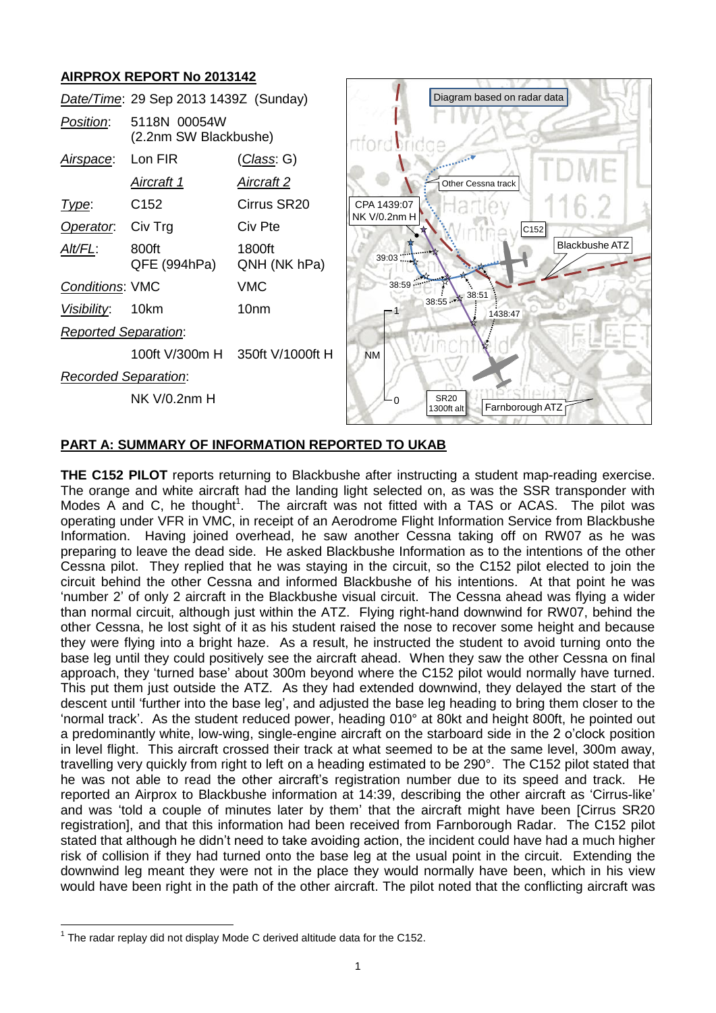# **AIRPROX REPORT No 2013142**



## **PART A: SUMMARY OF INFORMATION REPORTED TO UKAB**

**THE C152 PILOT** reports returning to Blackbushe after instructing a student map-reading exercise. The orange and white aircraft had the landing light selected on, as was the SSR transponder with Modes A and C, he thought<sup>1</sup>. The aircraft was not fitted with a TAS or ACAS. The pilot was operating under VFR in VMC, in receipt of an Aerodrome Flight Information Service from Blackbushe Information. Having joined overhead, he saw another Cessna taking off on RW07 as he was preparing to leave the dead side. He asked Blackbushe Information as to the intentions of the other Cessna pilot. They replied that he was staying in the circuit, so the C152 pilot elected to join the circuit behind the other Cessna and informed Blackbushe of his intentions. At that point he was 'number 2' of only 2 aircraft in the Blackbushe visual circuit. The Cessna ahead was flying a wider than normal circuit, although just within the ATZ. Flying right-hand downwind for RW07, behind the other Cessna, he lost sight of it as his student raised the nose to recover some height and because they were flying into a bright haze. As a result, he instructed the student to avoid turning onto the base leg until they could positively see the aircraft ahead. When they saw the other Cessna on final approach, they 'turned base' about 300m beyond where the C152 pilot would normally have turned. This put them just outside the ATZ. As they had extended downwind, they delayed the start of the descent until 'further into the base leg', and adjusted the base leg heading to bring them closer to the 'normal track'. As the student reduced power, heading 010° at 80kt and height 800ft, he pointed out a predominantly white, low-wing, single-engine aircraft on the starboard side in the 2 o'clock position in level flight. This aircraft crossed their track at what seemed to be at the same level, 300m away, travelling very quickly from right to left on a heading estimated to be 290°. The C152 pilot stated that he was not able to read the other aircraft's registration number due to its speed and track. He reported an Airprox to Blackbushe information at 14:39, describing the other aircraft as 'Cirrus-like' and was 'told a couple of minutes later by them' that the aircraft might have been [Cirrus SR20 registration], and that this information had been received from Farnborough Radar. The C152 pilot stated that although he didn't need to take avoiding action, the incident could have had a much higher risk of collision if they had turned onto the base leg at the usual point in the circuit. Extending the downwind leg meant they were not in the place they would normally have been, which in his view would have been right in the path of the other aircraft. The pilot noted that the conflicting aircraft was

 $\overline{a}$ 

 $1$  The radar replay did not display Mode C derived altitude data for the C152.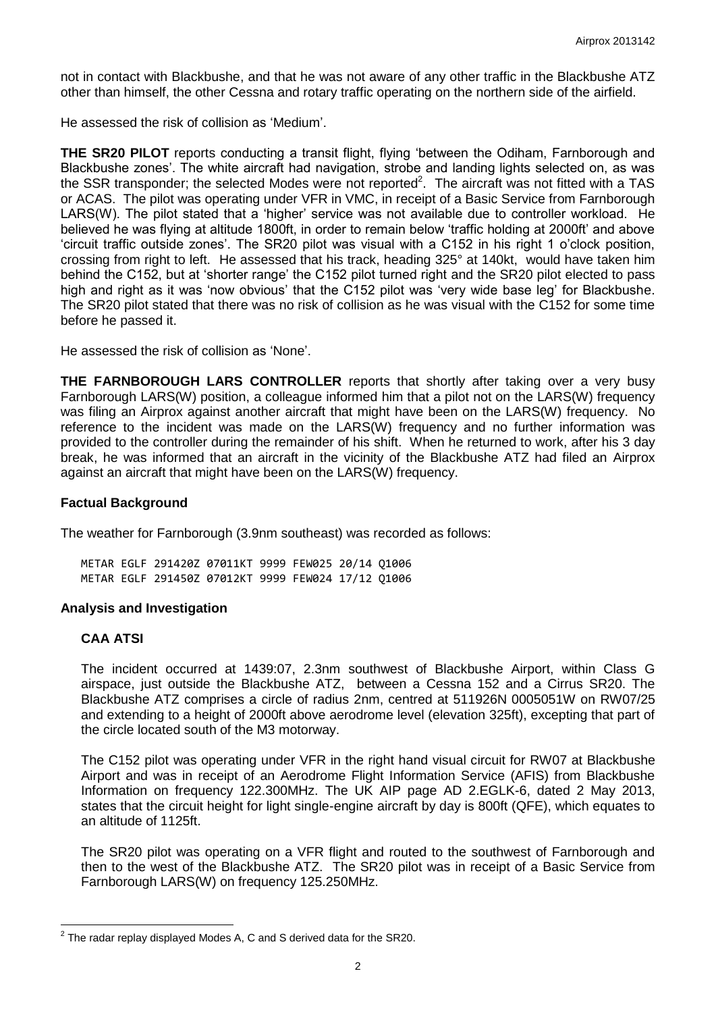not in contact with Blackbushe, and that he was not aware of any other traffic in the Blackbushe ATZ other than himself, the other Cessna and rotary traffic operating on the northern side of the airfield.

He assessed the risk of collision as 'Medium'.

**THE SR20 PILOT** reports conducting a transit flight, flying 'between the Odiham, Farnborough and Blackbushe zones'. The white aircraft had navigation, strobe and landing lights selected on, as was the SSR transponder; the selected Modes were not reported<sup>2</sup>. The aircraft was not fitted with a TAS or ACAS. The pilot was operating under VFR in VMC, in receipt of a Basic Service from Farnborough LARS(W). The pilot stated that a 'higher' service was not available due to controller workload. He believed he was flying at altitude 1800ft, in order to remain below 'traffic holding at 2000ft' and above 'circuit traffic outside zones'. The SR20 pilot was visual with a C152 in his right 1 o'clock position, crossing from right to left. He assessed that his track, heading 325° at 140kt, would have taken him behind the C152, but at 'shorter range' the C152 pilot turned right and the SR20 pilot elected to pass high and right as it was 'now obvious' that the C152 pilot was 'very wide base leg' for Blackbushe. The SR20 pilot stated that there was no risk of collision as he was visual with the C152 for some time before he passed it.

He assessed the risk of collision as 'None'.

**THE FARNBOROUGH LARS CONTROLLER** reports that shortly after taking over a very busy Farnborough LARS(W) position, a colleague informed him that a pilot not on the LARS(W) frequency was filing an Airprox against another aircraft that might have been on the LARS(W) frequency. No reference to the incident was made on the LARS(W) frequency and no further information was provided to the controller during the remainder of his shift. When he returned to work, after his 3 day break, he was informed that an aircraft in the vicinity of the Blackbushe ATZ had filed an Airprox against an aircraft that might have been on the LARS(W) frequency.

#### **Factual Background**

The weather for Farnborough (3.9nm southeast) was recorded as follows:

METAR EGLF 291420Z 07011KT 9999 FEW025 20/14 Q1006 METAR EGLF 291450Z 07012KT 9999 FEW024 17/12 Q1006

#### **Analysis and Investigation**

#### **CAA ATSI**

 $\overline{a}$ 

The incident occurred at 1439:07, 2.3nm southwest of Blackbushe Airport, within Class G airspace, just outside the Blackbushe ATZ, between a Cessna 152 and a Cirrus SR20. The Blackbushe ATZ comprises a circle of radius 2nm, centred at 511926N 0005051W on RW07/25 and extending to a height of 2000ft above aerodrome level (elevation 325ft), excepting that part of the circle located south of the M3 motorway.

The C152 pilot was operating under VFR in the right hand visual circuit for RW07 at Blackbushe Airport and was in receipt of an Aerodrome Flight Information Service (AFIS) from Blackbushe Information on frequency 122.300MHz. The UK AIP page AD 2.EGLK-6, dated 2 May 2013, states that the circuit height for light single-engine aircraft by day is 800ft (QFE), which equates to an altitude of 1125ft.

The SR20 pilot was operating on a VFR flight and routed to the southwest of Farnborough and then to the west of the Blackbushe ATZ. The SR20 pilot was in receipt of a Basic Service from Farnborough LARS(W) on frequency 125.250MHz.

 $^{2}$  The radar replay displayed Modes A, C and S derived data for the SR20.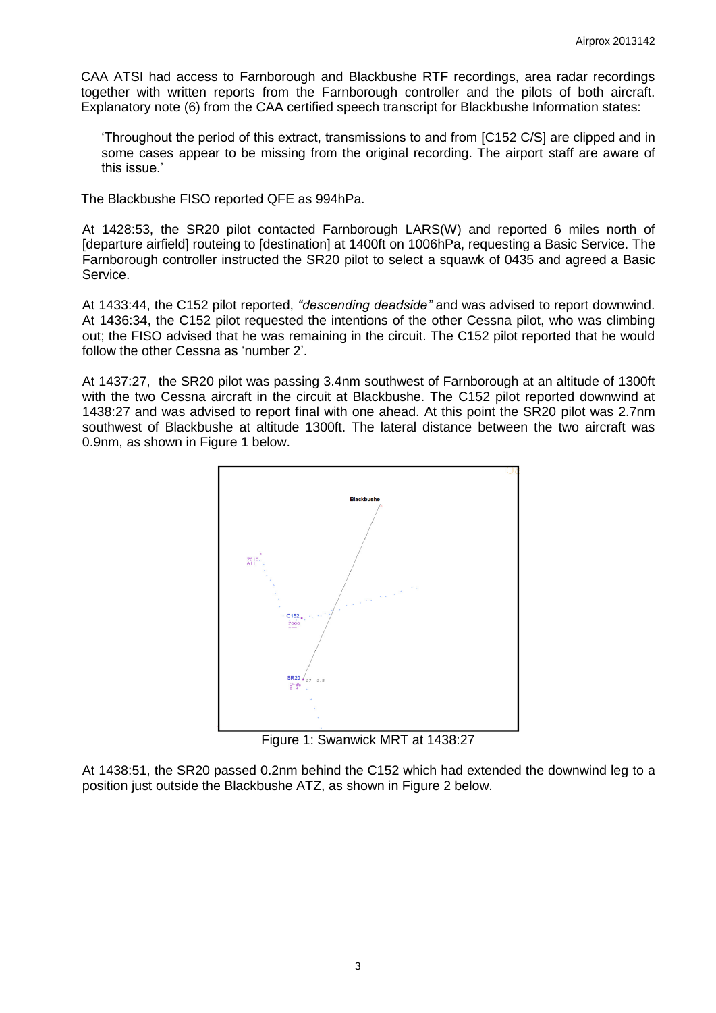CAA ATSI had access to Farnborough and Blackbushe RTF recordings, area radar recordings together with written reports from the Farnborough controller and the pilots of both aircraft. Explanatory note (6) from the CAA certified speech transcript for Blackbushe Information states:

'Throughout the period of this extract, transmissions to and from [C152 C/S] are clipped and in some cases appear to be missing from the original recording. The airport staff are aware of this issue.'

The Blackbushe FISO reported QFE as 994hPa.

At 1428:53, the SR20 pilot contacted Farnborough LARS(W) and reported 6 miles north of [departure airfield] routeing to [destination] at 1400ft on 1006hPa, requesting a Basic Service. The Farnborough controller instructed the SR20 pilot to select a squawk of 0435 and agreed a Basic Service.

At 1433:44, the C152 pilot reported, *"descending deadside"* and was advised to report downwind. At 1436:34, the C152 pilot requested the intentions of the other Cessna pilot, who was climbing out; the FISO advised that he was remaining in the circuit. The C152 pilot reported that he would follow the other Cessna as 'number 2'.

At 1437:27, the SR20 pilot was passing 3.4nm southwest of Farnborough at an altitude of 1300ft with the two Cessna aircraft in the circuit at Blackbushe. The C152 pilot reported downwind at 1438:27 and was advised to report final with one ahead. At this point the SR20 pilot was 2.7nm southwest of Blackbushe at altitude 1300ft. The lateral distance between the two aircraft was 0.9nm, as shown in Figure 1 below.



Figure 1: Swanwick MRT at 1438:27

At 1438:51, the SR20 passed 0.2nm behind the C152 which had extended the downwind leg to a position just outside the Blackbushe ATZ, as shown in Figure 2 below.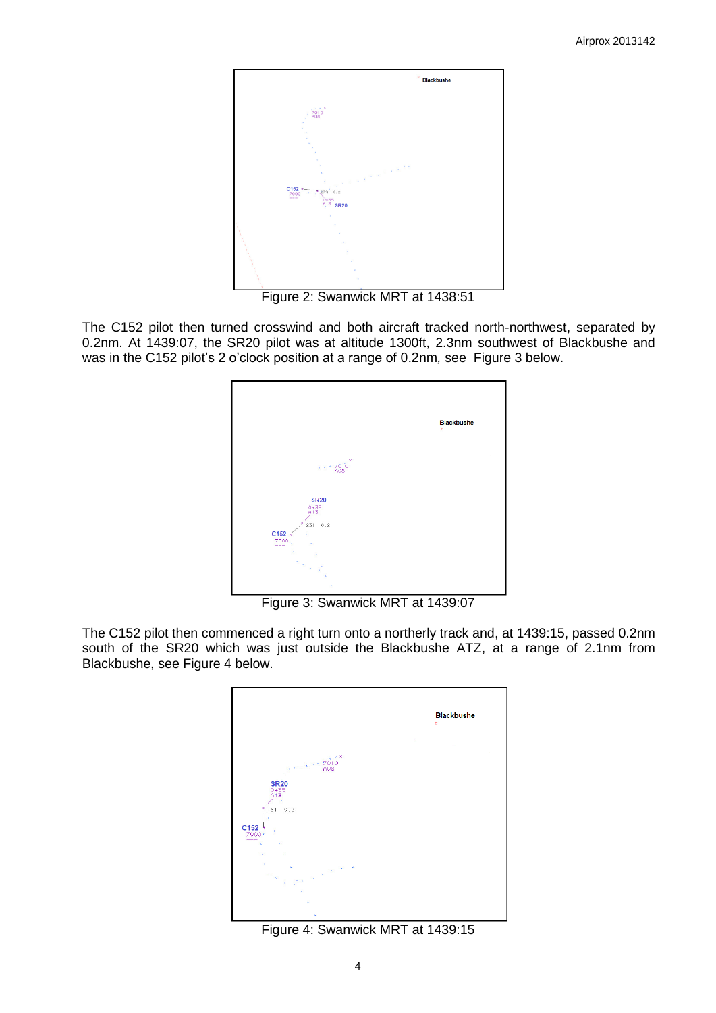

Figure 2: Swanwick MRT at 1438:51

The C152 pilot then turned crosswind and both aircraft tracked north-northwest, separated by 0.2nm. At 1439:07, the SR20 pilot was at altitude 1300ft, 2.3nm southwest of Blackbushe and was in the C152 pilot's 2 o'clock position at a range of 0.2nm*,* see Figure 3 below.



Figure 3: Swanwick MRT at 1439:07

The C152 pilot then commenced a right turn onto a northerly track and, at 1439:15, passed 0.2nm south of the SR20 which was just outside the Blackbushe ATZ, at a range of 2.1nm from Blackbushe, see Figure 4 below.



Figure 4: Swanwick MRT at 1439:15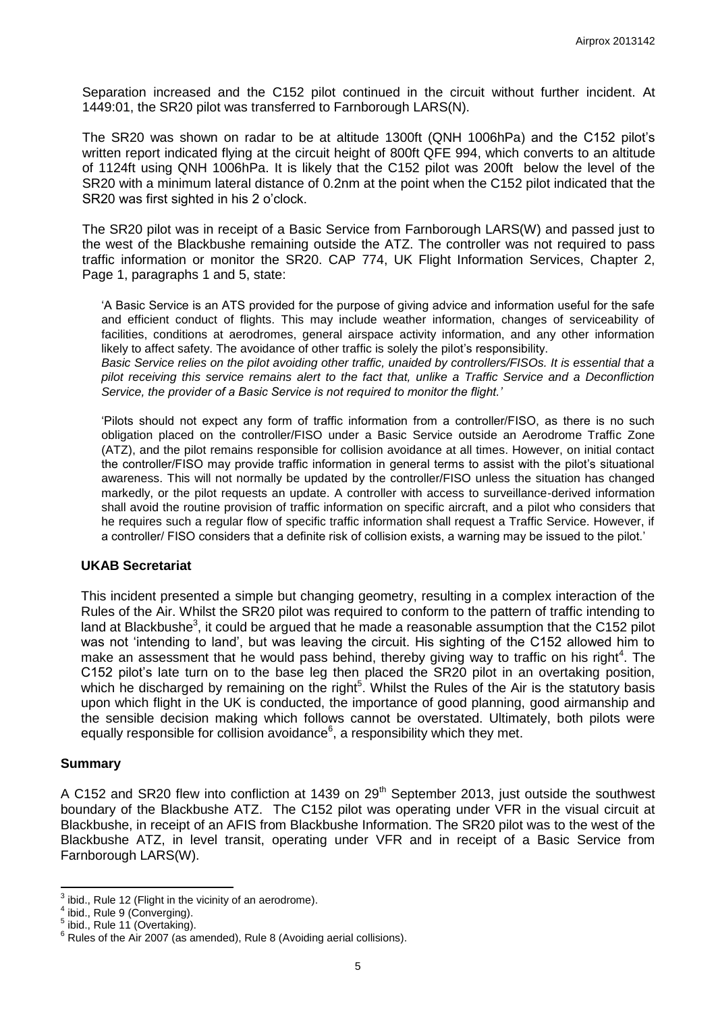Separation increased and the C152 pilot continued in the circuit without further incident. At 1449:01, the SR20 pilot was transferred to Farnborough LARS(N).

The SR20 was shown on radar to be at altitude 1300ft (QNH 1006hPa) and the C152 pilot's written report indicated flying at the circuit height of 800ft QFE 994, which converts to an altitude of 1124ft using QNH 1006hPa. It is likely that the C152 pilot was 200ft below the level of the SR20 with a minimum lateral distance of 0.2nm at the point when the C152 pilot indicated that the SR20 was first sighted in his 2 o'clock.

The SR20 pilot was in receipt of a Basic Service from Farnborough LARS(W) and passed just to the west of the Blackbushe remaining outside the ATZ. The controller was not required to pass traffic information or monitor the SR20. CAP 774, UK Flight Information Services, Chapter 2, Page 1, paragraphs 1 and 5, state:

'A Basic Service is an ATS provided for the purpose of giving advice and information useful for the safe and efficient conduct of flights. This may include weather information, changes of serviceability of facilities, conditions at aerodromes, general airspace activity information, and any other information likely to affect safety. The avoidance of other traffic is solely the pilot's responsibility.

*Basic Service relies on the pilot avoiding other traffic, unaided by controllers/FISOs. It is essential that a pilot receiving this service remains alert to the fact that, unlike a Traffic Service and a Deconfliction Service, the provider of a Basic Service is not required to monitor the flight.'*

'Pilots should not expect any form of traffic information from a controller/FISO, as there is no such obligation placed on the controller/FISO under a Basic Service outside an Aerodrome Traffic Zone (ATZ), and the pilot remains responsible for collision avoidance at all times. However, on initial contact the controller/FISO may provide traffic information in general terms to assist with the pilot's situational awareness. This will not normally be updated by the controller/FISO unless the situation has changed markedly, or the pilot requests an update. A controller with access to surveillance-derived information shall avoid the routine provision of traffic information on specific aircraft, and a pilot who considers that he requires such a regular flow of specific traffic information shall request a Traffic Service. However, if a controller/ FISO considers that a definite risk of collision exists, a warning may be issued to the pilot.'

#### **UKAB Secretariat**

This incident presented a simple but changing geometry, resulting in a complex interaction of the Rules of the Air. Whilst the SR20 pilot was required to conform to the pattern of traffic intending to land at Blackbushe<sup>3</sup>, it could be argued that he made a reasonable assumption that the C152 pilot was not 'intending to land', but was leaving the circuit. His sighting of the C152 allowed him to make an assessment that he would pass behind, thereby giving way to traffic on his right<sup>4</sup>. The C152 pilot's late turn on to the base leg then placed the SR20 pilot in an overtaking position, which he discharged by remaining on the right<sup>5</sup>. Whilst the Rules of the Air is the statutory basis upon which flight in the UK is conducted, the importance of good planning, good airmanship and the sensible decision making which follows cannot be overstated. Ultimately, both pilots were equally responsible for collision avoidance $6$ , a responsibility which they met.

#### **Summary**

A C152 and SR20 flew into confliction at 1439 on  $29<sup>th</sup>$  September 2013, just outside the southwest boundary of the Blackbushe ATZ. The C152 pilot was operating under VFR in the visual circuit at Blackbushe, in receipt of an AFIS from Blackbushe Information. The SR20 pilot was to the west of the Blackbushe ATZ, in level transit, operating under VFR and in receipt of a Basic Service from Farnborough LARS(W).

 $\frac{3}{4}$  ibid., Rule 12 (Flight in the vicinity of an aerodrome).

ibid., Rule 9 (Converging).

<sup>5</sup> ibid., Rule 11 (Overtaking).

 $6$  Rules of the Air 2007 (as amended), Rule 8 (Avoiding aerial collisions).